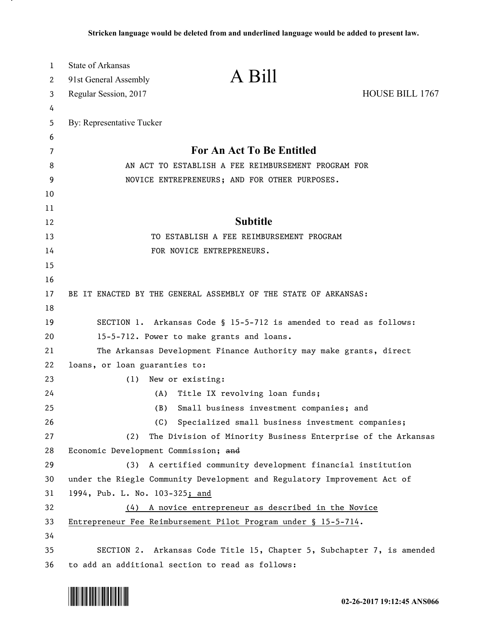| $\mathbf{1}$ | <b>State of Arkansas</b>                                                  |                 |
|--------------|---------------------------------------------------------------------------|-----------------|
| 2            | A Bill<br>91st General Assembly                                           |                 |
| 3            | Regular Session, 2017                                                     | HOUSE BILL 1767 |
| 4            |                                                                           |                 |
| 5            | By: Representative Tucker                                                 |                 |
| 6            |                                                                           |                 |
| 7            | <b>For An Act To Be Entitled</b>                                          |                 |
| 8            | AN ACT TO ESTABLISH A FEE REIMBURSEMENT PROGRAM FOR                       |                 |
| 9            | NOVICE ENTREPRENEURS; AND FOR OTHER PURPOSES.                             |                 |
| 10           |                                                                           |                 |
| 11           | <b>Subtitle</b>                                                           |                 |
| 12           |                                                                           |                 |
| 13<br>14     | TO ESTABLISH A FEE REIMBURSEMENT PROGRAM<br>FOR NOVICE ENTREPRENEURS.     |                 |
| 15           |                                                                           |                 |
| 16           |                                                                           |                 |
| 17           | BE IT ENACTED BY THE GENERAL ASSEMBLY OF THE STATE OF ARKANSAS:           |                 |
| 18           |                                                                           |                 |
| 19           | SECTION 1. Arkansas Code § 15-5-712 is amended to read as follows:        |                 |
| 20           | 15-5-712. Power to make grants and loans.                                 |                 |
| 21           | The Arkansas Development Finance Authority may make grants, direct        |                 |
| 22           | loans, or loan guaranties to:                                             |                 |
| 23           | New or existing:<br>(1)                                                   |                 |
| 24           | Title IX revolving loan funds;<br>(A)                                     |                 |
| 25           | (B)<br>Small business investment companies; and                           |                 |
| 26           | Specialized small business investment companies;<br>(C)                   |                 |
| 27           | The Division of Minority Business Enterprise of the Arkansas<br>(2)       |                 |
| 28           | Economic Development Commission; and                                      |                 |
| 29           | A certified community development financial institution<br>(3)            |                 |
| 30           | under the Riegle Community Development and Regulatory Improvement Act of  |                 |
| 31           | 1994, Pub. L. No. 103-325; and                                            |                 |
| 32           | A novice entrepreneur as described in the Novice<br>(4)                   |                 |
| 33           | Entrepreneur Fee Reimbursement Pilot Program under § 15-5-714.            |                 |
| 34           |                                                                           |                 |
| 35           | SECTION 2.<br>Arkansas Code Title 15, Chapter 5, Subchapter 7, is amended |                 |
| 36           | to add an additional section to read as follows:                          |                 |



.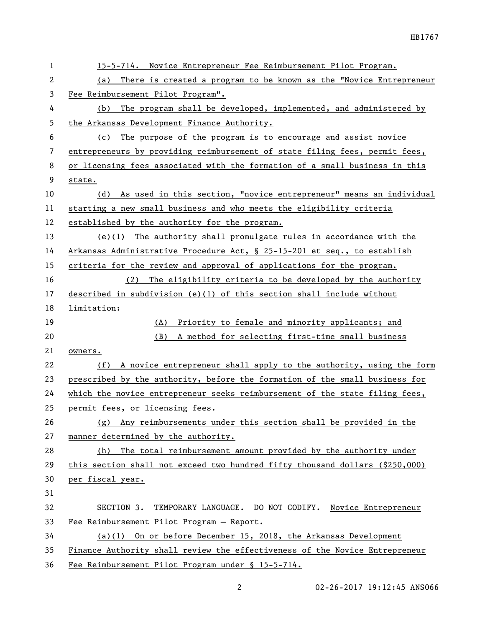| 1              | 15-5-714. Novice Entrepreneur Fee Reimbursement Pilot Program.               |
|----------------|------------------------------------------------------------------------------|
| $\overline{c}$ | There is created a program to be known as the "Novice Entrepreneur<br>(a)    |
| 3              | Fee Reimbursement Pilot Program".                                            |
| 4              | The program shall be developed, implemented, and administered by<br>(b)      |
| 5              | the Arkansas Development Finance Authority.                                  |
| 6              | The purpose of the program is to encourage and assist novice<br>(c)          |
| 7              | entrepreneurs by providing reimbursement of state filing fees, permit fees,  |
| 8              | or licensing fees associated with the formation of a small business in this  |
| 9              | state.                                                                       |
| 10             | (d) As used in this section, "novice entrepreneur" means an individual       |
| 11             | starting a new small business and who meets the eligibility criteria         |
| 12             | established by the authority for the program.                                |
| 13             | $(e)(1)$ The authority shall promulgate rules in accordance with the         |
| 14             | Arkansas Administrative Procedure Act, § 25-15-201 et seq., to establish     |
| 15             | criteria for the review and approval of applications for the program.        |
| 16             | (2) The eligibility criteria to be developed by the authority                |
| 17             | described in subdivision (e)(1) of this section shall include without        |
| 18             | limitation:                                                                  |
| 19             | (A) Priority to female and minority applicants; and                          |
| 20             | (B)<br>A method for selecting first-time small business                      |
| 21             | owners.                                                                      |
| 22             | (f) A novice entrepreneur shall apply to the authority, using the form       |
| 23             | prescribed by the authority, before the formation of the small business for  |
| 24             | which the novice entrepreneur seeks reimbursement of the state filing fees,  |
| 25             | permit fees, or licensing fees.                                              |
| 26             | (g) Any reimbursements under this section shall be provided in the           |
| 27             | manner determined by the authority.                                          |
| 28             | (h) The total reimbursement amount provided by the authority under           |
| 29             | this section shall not exceed two hundred fifty thousand dollars (\$250,000) |
| 30             | per fiscal year.                                                             |
| 31             |                                                                              |
| 32             | TEMPORARY LANGUAGE. DO NOT CODIFY.<br>SECTION 3.<br>Novice Entrepreneur      |
| 33             | Fee Reimbursement Pilot Program - Report.                                    |
| 34             | (a)(1) On or before December 15, 2018, the Arkansas Development              |
| 35             |                                                                              |
|                | Finance Authority shall review the effectiveness of the Novice Entrepreneur  |

2 02-26-2017 19:12:45 ANS066